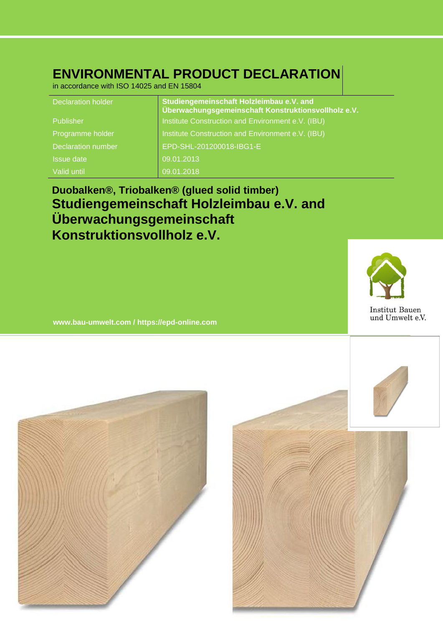# **ENVIRONMENTAL PRODUCT DECLARATION**

in accordance with ISO 14025 and EN 15804

| <b>Declaration holder</b> | Studiengemeinschaft Holzleimbau e.V. and<br>Überwachungsgemeinschaft Konstruktionsvollholz e.V. |
|---------------------------|-------------------------------------------------------------------------------------------------|
| Publisher                 | Institute Construction and Environment e.V. (IBU)                                               |
| Programme holder          | Institute Construction and Environment e.V. (IBU)                                               |
| <b>Declaration number</b> | EPD-SHL-201200018-IBG1-E                                                                        |
| <b>Issue date</b>         | 09.01.2013                                                                                      |
| Valid until               | 09.01.2018                                                                                      |

# **Duobalken®, Triobalken® (glued solid timber) Studiengemeinschaft Holzleimbau e.V. and Überwachungsgemeinschaft Konstruktionsvollholz e.V.**



**www.bau-umwelt.com / https://epd-online.com**



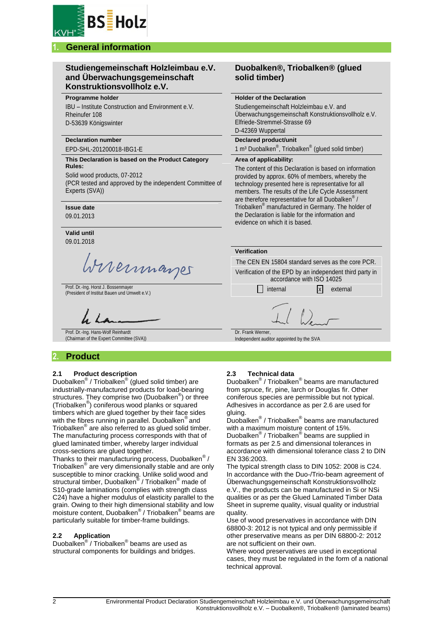

# **1. General information**

## **Studiengemeinschaft Holzleimbau e.V. and Überwachungsgemeinschaft Konstruktionsvollholz e.V.**

#### **Programme holder**

IBU – Institute Construction and Environment e.V. Rheinufer 108 D-53639 Königswinter

#### **Declaration number**

EPD-SHL-201200018-IBG1-E

#### **This Declaration is based on the Product Category Rules:**

Solid wood products, 07-2012 (PCR tested and approved by the independent Committee of Experts (SVA))

#### **Issue date**

09.01.2013

**Valid until** 09.01.2018

Wireinmarger

Prof. Dr.-Ing. Horst J. Bossenmayer Prof. Dr.-Ing. Horst J. Bossenmayer<br>(President of Institut Bauen und Umwelt e.V.) internal internal internal x external

Prof. Dr.-Ing. Hans-Wolf Reinhardt (Chairman of the Expert Committee (SVA))

# **2. Product**

## **2.1 Product description**

Duobalken® / Triobalken® (glued solid timber) are industrially-manufactured products for load-bearing structures. They comprise two (Duobalken<sup>®</sup>) or three (Triobalken® ) coniferous wood planks or squared timbers which are glued together by their face sides with the fibres running in parallel. Duobalken<sup>®</sup> and Triobalken® are also referred to as glued solid timber. The manufacturing process corresponds with that of glued laminated timber, whereby larger individual cross-sections are glued together.

Thanks to their manufacturing process, Duobalken<sup>®</sup> / Triobalken® are very dimensionally stable and are only susceptible to minor cracking. Unlike solid wood and structural timber, Duobalken® / Triobalken<sup>®</sup> made of S10-grade laminations (complies with strength class C24) have a higher modulus of elasticity parallel to the grain. Owing to their high dimensional stability and low moisture content, Duobalken® / Triobalken® beams are particularly suitable for timber-frame buildings.

#### **2.2 Application**

Duobalken® / Triobalken® beams are used as structural components for buildings and bridges.

# **Duobalken®, Triobalken® (glued solid timber)**

#### **Holder of the Declaration**

Studiengemeinschaft Holzleimbau e.V. and Überwachungsgemeinschaft Konstruktionsvollholz e.V. Elfriede-Stremmel-Strasse 69 D-42369 Wuppertal

## **Declared product/unit**

1 m<sup>3</sup> Duobalken<sup>®</sup>, Triobalken<sup>®</sup> (glued solid timber)

#### **Area of applicability:**

The content of this Declaration is based on information provided by approx. 60% of members, whereby the technology presented here is representative for all members. The results of the Life Cycle Assessment are therefore representative for all Duobalken<sup>®</sup>/ Triobalken® manufactured in Germany. The holder of the Declaration is liable for the information and evidence on which it is based.

The CEN EN 15804 standard serves as the core PCR. Verification of the EPD by an independent third party in accordance with ISO 14025

Dr. Frank Werner, Independent auditor appointed by the SVA

## **2.3 Technical data**

Duobalken® / Triobalken® beams are manufactured from spruce, fir, pine, larch or Douglas fir. Other coniferous species are permissible but not typical. Adhesives in accordance as per 2.6 are used for gluing.

Duobalken® / Triobalken® beams are manufactured with a maximum moisture content of 15%.

Duobalken® / Triobalken® beams are supplied in formats as per 2.5 and dimensional tolerances in accordance with dimensional tolerance class 2 to DIN EN 336:2003.

The typical strength class to DIN 1052: 2008 is C24. In accordance with the Duo-/Trio-beam agreement of Überwachungsgemeinschaft Konstruktionsvollholz e.V., the products can be manufactured in Si or NSi qualities or as per the Glued Laminated Timber Data Sheet in supreme quality, visual quality or industrial quality.

Use of wood preservatives in accordance with DIN 68800-3: 2012 is not typical and only permissible if other preservative means as per DIN 68800-2*:* 2012 are not sufficient on their own.

Where wood preservatives are used in exceptional cases, they must be regulated in the form of a national technical approval.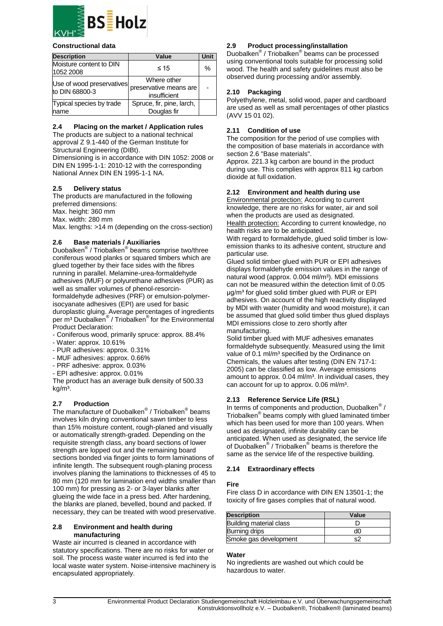

#### **Constructional data**

| <b>Description</b>                          | Value                                                 | Unit |  |
|---------------------------------------------|-------------------------------------------------------|------|--|
| Moisture content to DIN<br>1052 2008        | $\leq 15$                                             | $\%$ |  |
| Use of wood preservatives<br>to DIN 68800-3 | Where other<br>preservative means are<br>insufficient |      |  |
| Typical species by trade<br>name            | Spruce, fir, pine, larch,<br>Douglas fir              |      |  |

### **2.4 Placing on the market / Application rules**

The products are subject to a national technical approval Z 9.1-440 of the German Institute for Structural Engineering (DIBt). Dimensioning is in accordance with DIN 1052: 2008 or

DIN EN 1995-1-1: 2010-12 with the corresponding National Annex DIN EN 1995-1-1 NA.

## **2.5 Delivery status**

The products are manufactured in the following preferred dimensions: Max. height: 360 mm Max. width: 280 mm Max. lengths: >14 m (depending on the cross-section)

## **2.6 Base materials / Auxiliaries**

Duobalken® / Triobalken® beams comprise two/three coniferous wood planks or squared timbers which are glued together by their face sides with the fibres running in parallel. Melamine-urea-formaldehyde adhesives (MUF) or polyurethane adhesives (PUR) as well as smaller volumes of phenol-resorcinformaldehyde adhesives (PRF) or emulsion-polymerisocyanate adhesives (EPI) are used for basic duroplastic gluing. Average percentages of ingredients per m<sup>3</sup> Duobalken<sup>®</sup> / Triobalken<sup>®</sup> for the Environmental Product Declaration:

- Coniferous wood, primarily spruce: approx. 88.4%
- Water: approx. 10.61%
- PUR adhesives: approx. 0.31%
- MUF adhesives: approx. 0.66%
- PRF adhesive: approx. 0.03%
- EPI adhesive: approx. 0.01%

The product has an average bulk density of 500.33  $ka/m<sup>3</sup>$ .

## **2.7 Production**

The manufacture of Duobalken® / Triobalken® beams involves kiln drying conventional sawn timber to less than 15% moisture content, rough-planed and visually or automatically strength-graded. Depending on the requisite strength class, any board sections of lower strength are lopped out and the remaining board sections bonded via finger joints to form laminations of infinite length. The subsequent rough-planing process involves planing the laminations to thicknesses of 45 to 80 mm (120 mm for lamination end widths smaller than 100 mm) for pressing as 2- or 3-layer blanks after glueing the wide face in a press bed. After hardening, the blanks are planed, bevelled, bound and packed. If necessary, they can be treated with wood preservative.

#### **2.8 Environment and health during manufacturing**

Waste air incurred is cleaned in accordance with statutory specifications. There are no risks for water or soil. The process waste water incurred is fed into the local waste water system. Noise-intensive machinery is encapsulated appropriately.

## **2.9 Product processing/installation**

Duobalken® / Triobalken® beams can be processed using conventional tools suitable for processing solid wood. The health and safety guidelines must also be observed during processing and/or assembly.

## **2.10 Packaging**

Polyethylene, metal, solid wood, paper and cardboard are used as well as small percentages of other plastics (AVV 15 01 02).

## **2.11 Condition of use**

The composition for the period of use complies with the composition of base materials in accordance with section 2.6 "Base materials".

Approx. 221.3 kg carbon are bound in the product during use. This complies with approx 811 kg carbon dioxide at full oxidation.

## **2.12 Environment and health during use**

Environmental protection: According to current knowledge, there are no risks for water, air and soil when the products are used as designated. Health protection: According to current knowledge, no health risks are to be anticipated.

With regard to formaldehyde, glued solid timber is lowemission thanks to its adhesive content, structure and particular use.

Glued solid timber glued with PUR or EPI adhesives displays formaldehyde emission values in the range of natural wood (approx. 0.004 ml/m<sup>3</sup>). MDI emissions can not be measured within the detection limit of 0.05 μg/m³ for glued solid timber glued with PUR or EPI adhesives. On account of the high reactivity displayed by MDI with water (humidity and wood moisture), it can be assumed that glued solid timber thus glued displays MDI emissions close to zero shortly after manufacturing.

Solid timber glued with MUF adhesives emanates formaldehyde subsequently. Measured using the limit value of 0.1 ml/m<sup>3</sup> specified by the Ordinance on Chemicals, the values after testing (DIN EN 717-1: 2005) can be classified as low. Average emissions amount to approx. 0.04 ml/m<sup>3</sup>. In individual cases, they can account for up to approx. 0.06 ml/m<sup>3</sup>.

## **2.13 Reference Service Life (RSL)**

In terms of components and production, Duobalken<sup>®</sup> / Triobalken ® beams comply with glued laminated timber which has been used for more than 100 years. When used as designated, infinite durability can be anticipated. When used as designated, the service life of Duobalken® / Triobalken® beams is therefore the same as the service life of the respective building.

#### **2.14 Extraordinary effects**

#### **Fire**

Fire class D in accordance with DIN EN 13501-1; the toxicity of fire gases complies that of natural wood.

| <b>Description</b>      | Value |  |  |  |  |
|-------------------------|-------|--|--|--|--|
| Building material class |       |  |  |  |  |
| Burning drips           | K.    |  |  |  |  |
| Smoke gas development   |       |  |  |  |  |

#### **Water**

No ingredients are washed out which could be hazardous to water.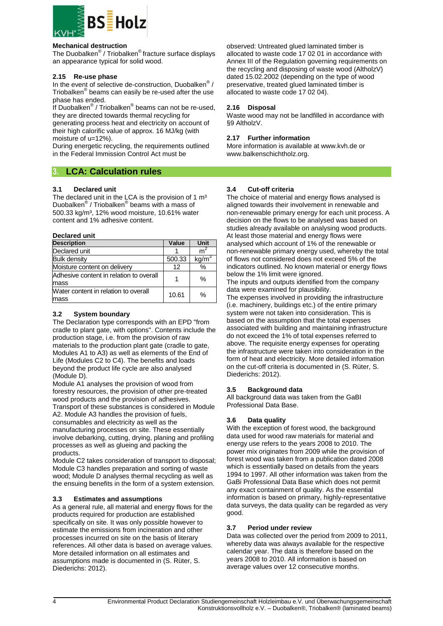

#### **Mechanical destruction**

The Duobalken® / Triobalken® fracture surface displays an appearance typical for solid wood.

#### **2.15 Re-use phase**

In the event of selective de-construction, Duobalken<sup>®</sup> / Triobalken® beams can easily be re-used after the use phase has ended.

.<br>If Duobalken<sup>®</sup> / Triobalken<sup>®</sup> beams can not be re-used, they are directed towards thermal recycling for generating process heat and electricity on account of

their high calorific value of approx. 16 MJ/kg (with moisture of u=12%).

During energetic recycling, the requirements outlined in the Federal Immission Control Act must be

## **3. LCA: Calculation rules**

#### **3.1 Declared unit**

The declared unit in the LCA is the provision of 1  $m<sup>3</sup>$ Duobalken® / Triobalken® beams with a mass of 500.33 kg/m³, 12% wood moisture, 10.61% water content and 1% adhesive content.

#### **Declared unit**

| <b>Description</b>                              | Value  | Unit              |
|-------------------------------------------------|--------|-------------------|
| Declared unit                                   |        | m                 |
| <b>Bulk density</b>                             | 500.33 | kg/m <sup>3</sup> |
| Moisture content on delivery                    | 12     | $\%$              |
| Adhesive content in relation to overall<br>mass |        | $\%$              |
| Water content in relation to overall            |        |                   |
| mass                                            | 10.61  | $\%$              |

#### **3.2 System boundary**

The Declaration type corresponds with an EPD "from cradle to plant gate, with options". Contents include the production stage, i.e. from the provision of raw materials to the production plant gate (cradle to gate, Modules A1 to A3) as well as elements of the End of Life (Modules C2 to C4). The benefits and loads beyond the product life cycle are also analysed (Module D).

Module A1 analyses the provision of wood from forestry resources, the provision of other pre-treated wood products and the provision of adhesives.

Transport of these substances is considered in Module A2. Module A3 handles the provision of fuels, consumables and electricity as well as the manufacturing processes on site. These essentially involve debarking, cutting, drying, planing and profiling processes as well as glueing and packing the products.

Module C2 takes consideration of transport to disposal; Module C3 handles preparation and sorting of waste wood; Module D analyses thermal recycling as well as the ensuing benefits in the form of a system extension.

#### **3.3 Estimates and assumptions**

As a general rule, all material and energy flows for the products required for production are established specifically on site. It was only possible however to estimate the emissions from incineration and other processes incurred on site on the basis of literary references. All other data is based on average values. More detailed information on all estimates and assumptions made is documented in (S. Rüter, S. Diederichs: 2012).

observed: Untreated glued laminated timber is allocated to waste code 17 02 01 in accordance with Annex III of the Regulation governing requirements on the recycling and disposing of waste wood (AltholzV) dated 15.02.2002 (depending on the type of wood preservative, treated glued laminated timber is allocated to waste code 17 02 04).

#### **2.16 Disposal**

Waste wood may not be landfilled in accordance with §9 AltholzV.

#### **2.17 Further information**

More information is available at www.kvh.de or www.balkenschichtholz.org.

#### **3.4 Cut-off criteria**

The choice of material and energy flows analysed is aligned towards their involvement in renewable and non-renewable primary energy for each unit process. A decision on the flows to be analysed was based on studies already available on analysing wood products. At least those material and energy flows were analysed which account of 1% of the renewable or non-renewable primary energy used, whereby the total of flows not considered does not exceed 5% of the indicators outlined. No known material or energy flows below the 1% limit were ignored.

The inputs and outputs identified from the company data were examined for plausibility.

The expenses involved in providing the infrastructure (i.e. machinery, buildings etc.) of the entire primary system were not taken into consideration. This is based on the assumption that the total expenses associated with building and maintaining infrastructure do not exceed the 1% of total expenses referred to above. The requisite energy expenses for operating the infrastructure were taken into consideration in the form of heat and electricity. More detailed information on the cut-off criteria is documented in (S. Rüter, S. Diederichs: 2012).

#### **3.5 Background data**

All background data was taken from the GaBI Professional Data Base.

#### **3.6 Data quality**

With the exception of forest wood, the background data used for wood raw materials for material and energy use refers to the years 2008 to 2010. The power mix originates from 2009 while the provision of forest wood was taken from a publication dated 2008 which is essentially based on details from the years 1994 to 1997. All other information was taken from the GaBi Professional Data Base which does not permit any exact containment of quality. As the essential information is based on primary, highly-representative data surveys, the data quality can be regarded as very good.

#### **3.7 Period under review**

Data was collected over the period from 2009 to 2011, whereby data was always available for the respective calendar year. The data is therefore based on the years 2008 to 2010. All information is based on average values over 12 consecutive months.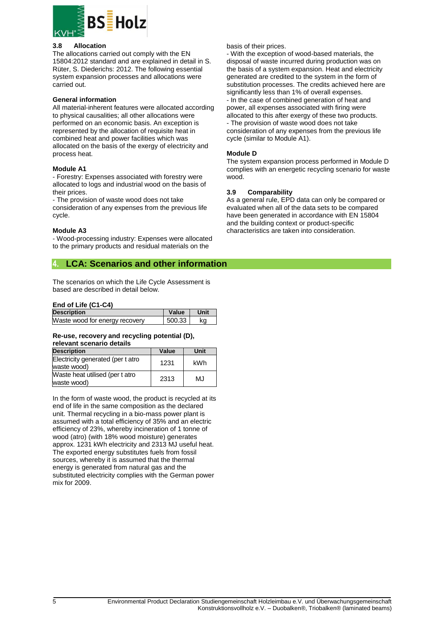

#### **3.8 Allocation**

The allocations carried out comply with the EN 15804:2012 standard and are explained in detail in S. Rüter, S. Diederichs: 2012. The following essential system expansion processes and allocations were carried out.

#### **General information**

All material-inherent features were allocated according to physical causalities; all other allocations were performed on an economic basis. An exception is represented by the allocation of requisite heat in combined heat and power facilities which was allocated on the basis of the exergy of electricity and process heat.

#### **Module A1**

- Forestry: Expenses associated with forestry were allocated to logs and industrial wood on the basis of their prices.

- The provision of waste wood does not take consideration of any expenses from the previous life cycle.

#### **Module A3**

- Wood-processing industry: Expenses were allocated to the primary products and residual materials on the

## **4. LCA: Scenarios and other information**

The scenarios on which the Life Cycle Assessment is based are described in detail below.

#### **End of Life (C1-C4)**

| <b>Description</b>             | Value  | Unit |
|--------------------------------|--------|------|
| Waste wood for energy recovery | 500.33 | kα   |

#### **Re-use, recovery and recycling potential (D), relevant scenario details**

| <b>Description</b>                               | Value | Unit |
|--------------------------------------------------|-------|------|
| Electricity generated (per t atro<br>waste wood) | 1231  | kWh  |
| Waste heat utilised (per t atro<br>waste wood)   | 2313  | MJ   |

In the form of waste wood, the product is recycled at its end of life in the same composition as the declared unit. Thermal recycling in a bio-mass power plant is assumed with a total efficiency of 35% and an electric efficiency of 23%, whereby incineration of 1 tonne of wood (atro) (with 18% wood moisture) generates approx. 1231 kWh electricity and 2313 MJ useful heat. The exported energy substitutes fuels from fossil sources, whereby it is assumed that the thermal energy is generated from natural gas and the substituted electricity complies with the German power mix for 2009.

#### basis of their prices.

- With the exception of wood-based materials, the disposal of waste incurred during production was on the basis of a system expansion. Heat and electricity generated are credited to the system in the form of substitution processes. The credits achieved here are significantly less than 1% of overall expenses. - In the case of combined generation of heat and power, all expenses associated with firing were allocated to this after exergy of these two products. - The provision of waste wood does not take consideration of any expenses from the previous life cycle (similar to Module A1).

#### **Module D**

The system expansion process performed in Module D complies with an energetic recycling scenario for waste wood.

#### **3.9 Comparability**

As a general rule, EPD data can only be compared or evaluated when all of the data sets to be compared have been generated in accordance with EN 15804 and the building context or product-specific characteristics are taken into consideration.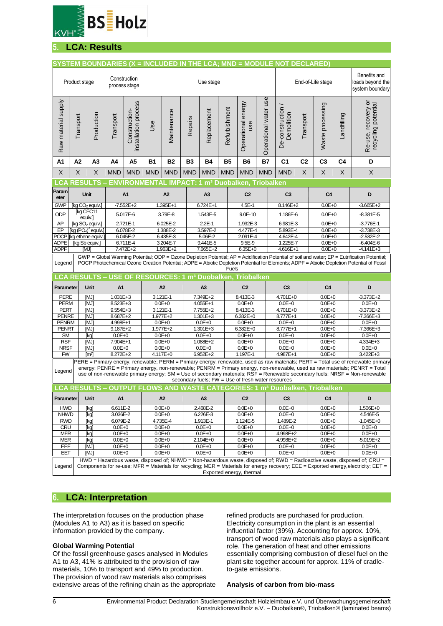

# **5. LCA: Results**

| SYSTEM BOUNDARIES (X = INCLUDED IN THE LCA; MND = MODULE NOT DECLARED)                                                                                                                                                                                                                                                                                                                                                                                        |                                                                                                                                                                  |                                            |                                                      |                                       |                                                          |                          |                |                            |               |                                      |                       |                                                                             |                   |                          |                |                                                                                                                                                                                                                                                                                              |
|---------------------------------------------------------------------------------------------------------------------------------------------------------------------------------------------------------------------------------------------------------------------------------------------------------------------------------------------------------------------------------------------------------------------------------------------------------------|------------------------------------------------------------------------------------------------------------------------------------------------------------------|--------------------------------------------|------------------------------------------------------|---------------------------------------|----------------------------------------------------------|--------------------------|----------------|----------------------------|---------------|--------------------------------------|-----------------------|-----------------------------------------------------------------------------|-------------------|--------------------------|----------------|----------------------------------------------------------------------------------------------------------------------------------------------------------------------------------------------------------------------------------------------------------------------------------------------|
|                                                                                                                                                                                                                                                                                                                                                                                                                                                               | Product stage                                                                                                                                                    |                                            |                                                      | Construction<br>process stage         |                                                          |                          |                | Use stage                  |               |                                      |                       |                                                                             | End-of-Life stage |                          |                | Benefits and<br>loads beyond the<br>system boundary                                                                                                                                                                                                                                          |
| Raw material supply                                                                                                                                                                                                                                                                                                                                                                                                                                           | Transport                                                                                                                                                        | Production                                 | Transport                                            | installation process<br>Construction- | Use                                                      | Maintenance              | Repairs        | Replacement                | Refurbishment | Operational energy<br>use            | Operational water use | De-construction<br>Demolition                                               | Transport         | Waste processing         | Landfilling    | Re-use, recovery or<br>recycling potential                                                                                                                                                                                                                                                   |
| A1                                                                                                                                                                                                                                                                                                                                                                                                                                                            | A2                                                                                                                                                               | A3                                         | A4                                                   | A <sub>5</sub>                        | <b>B1</b>                                                | <b>B2</b>                | <b>B3</b>      | <b>B4</b>                  | <b>B5</b>     | <b>B6</b>                            | <b>B7</b>             | C <sub>1</sub>                                                              | C <sub>2</sub>    | C <sub>3</sub>           | C <sub>4</sub> | D                                                                                                                                                                                                                                                                                            |
| X                                                                                                                                                                                                                                                                                                                                                                                                                                                             | X                                                                                                                                                                | X                                          | <b>MND</b>                                           | <b>MND</b>                            | <b>MND</b>                                               | <b>MND</b>               | <b>MND</b>     | <b>MND</b>                 | <b>MND</b>    | <b>MND</b>                           | <b>MND</b>            | <b>MND</b>                                                                  | $\mathsf X$       | $\mathsf X$              | X              | $\boldsymbol{\mathsf{X}}$                                                                                                                                                                                                                                                                    |
| $\_CA$                                                                                                                                                                                                                                                                                                                                                                                                                                                        | <b>RESULTS</b>                                                                                                                                                   |                                            |                                                      |                                       | <b>ENVIRONMENTAI</b>                                     |                          | <b>IMPACT:</b> |                            |               | m <sup>3</sup> Duobalken, Triobalken |                       |                                                                             |                   |                          |                |                                                                                                                                                                                                                                                                                              |
| Param                                                                                                                                                                                                                                                                                                                                                                                                                                                         |                                                                                                                                                                  | Unit                                       |                                                      | A <sub>1</sub>                        |                                                          | A <sub>2</sub>           |                | A <sub>3</sub>             |               | C <sub>2</sub>                       |                       | C <sub>3</sub>                                                              |                   | C <sub>4</sub>           |                | D                                                                                                                                                                                                                                                                                            |
| eter<br><b>GWP</b>                                                                                                                                                                                                                                                                                                                                                                                                                                            | $\overline{[kg\,CO}_{2}\,$ equiv.]                                                                                                                               |                                            |                                                      | $-7.552E+2$                           |                                                          | 1.395E+1                 |                | $6.724E+1$                 |               | 4.5E-1                               |                       |                                                                             |                   |                          |                | $-3.665E + 2$                                                                                                                                                                                                                                                                                |
| <b>ODP</b>                                                                                                                                                                                                                                                                                                                                                                                                                                                    |                                                                                                                                                                  | [kg CFC11                                  |                                                      | 5.017E-6                              |                                                          | 3.79E-8                  |                | 1.543E-5                   |               | 9.0E-10                              |                       | 8.146E+2<br>1.186E-6                                                        |                   | $0.0E + 0$<br>$0.0E + 0$ |                | $-8.381E - 5$                                                                                                                                                                                                                                                                                |
| AP                                                                                                                                                                                                                                                                                                                                                                                                                                                            |                                                                                                                                                                  | equiv.]<br>[kg SO <sub>2</sub> equiv.]     |                                                      | 2.721E-1                              |                                                          | 6.025E-2                 |                | 2.2E-1                     |               | 1.932E-3                             |                       | 6.981E-3                                                                    |                   | $0.0E + 0$               |                | $-3.776E - 1$                                                                                                                                                                                                                                                                                |
| EP                                                                                                                                                                                                                                                                                                                                                                                                                                                            |                                                                                                                                                                  | [kg (PO <sub>4</sub> ) <sup>3</sup> equiv. |                                                      | 6.078E-2                              |                                                          | 1.388E-2                 |                | 3.597E-2                   |               | 4.477E-4                             |                       | 5.893E-4                                                                    |                   | $0.0E + 0$               |                | $-3.738E - 3$                                                                                                                                                                                                                                                                                |
| <b>POCP</b>                                                                                                                                                                                                                                                                                                                                                                                                                                                   |                                                                                                                                                                  | [kg ethene equiv.                          |                                                      | 6.045E-2                              |                                                          | 6.435E-3                 |                | 5.06E-2                    |               | 2.091E-4                             |                       | 4.642E-4                                                                    |                   | $0.0E + 0$               |                | $-2.532E - 2$                                                                                                                                                                                                                                                                                |
| <b>ADPE</b><br><b>ADPF</b>                                                                                                                                                                                                                                                                                                                                                                                                                                    | [kg Sb equiv.]<br>[MJ]                                                                                                                                           |                                            |                                                      | 6.711E-4<br>3.204E-7<br>7.472E+2      |                                                          | 1.963E+2                 |                | 9.441E-5<br>7.665E+2       |               | $9.5E-9$<br>$6.35E + 0$              |                       | 1.225E-7<br>4.616E+1                                                        |                   | $0.0E + 0$<br>$0.0E + 0$ |                | $-6.404E-6$<br>$-4.141E + 3$                                                                                                                                                                                                                                                                 |
| Legend                                                                                                                                                                                                                                                                                                                                                                                                                                                        |                                                                                                                                                                  |                                            |                                                      |                                       |                                                          |                          |                |                            | <b>Fuels</b>  |                                      |                       |                                                                             |                   |                          |                | GWP = Global Warming Potential; ODP = Ozone Depletion Potential; AP = Acidification Potential of soil and water; EP = Eutrification Potential;<br>POCP Photochemical Ozone Creation Potential; ADPE = Abiotic Depletion Potential for Elements; ADPF = Abiotic Depletion Potential of Fossil |
|                                                                                                                                                                                                                                                                                                                                                                                                                                                               | <b>LCA RESULTS</b>                                                                                                                                               |                                            |                                                      |                                       | USE OF RESOURCES: 1 m <sup>3</sup> Duobalken, Triobalken |                          |                |                            |               |                                      |                       |                                                                             |                   |                          |                |                                                                                                                                                                                                                                                                                              |
| Parameter                                                                                                                                                                                                                                                                                                                                                                                                                                                     |                                                                                                                                                                  | Unit                                       | A1                                                   |                                       |                                                          | A2                       |                | A <sub>3</sub>             |               | C <sub>2</sub>                       |                       | C <sub>3</sub>                                                              |                   | C <sub>4</sub>           |                | D                                                                                                                                                                                                                                                                                            |
| PERE                                                                                                                                                                                                                                                                                                                                                                                                                                                          |                                                                                                                                                                  | [MJ]                                       | $1.031E + 3$                                         |                                       |                                                          | $3.121E - 1$             |                | 7.349E+2                   |               | 8.413E-3                             |                       | 4.701E+0                                                                    |                   | $0.0E + 0$               |                | $-3.373E + 2$                                                                                                                                                                                                                                                                                |
| <b>PERM</b><br><b>PERT</b>                                                                                                                                                                                                                                                                                                                                                                                                                                    |                                                                                                                                                                  | [MJ]<br>[MJ]                               | 8.523E+3<br>9.554E+3                                 |                                       |                                                          | $0.0E + 0$<br>3.121E-1   |                | 4.055E+1<br>7.755E+2       |               | $0.0E + 0$<br>8.413E-3               |                       | $0.0E + 0$<br>4.701E+0                                                      |                   | $0.0E + 0$<br>$0.0E + 0$ |                | $0.0E + 0$<br>$-3.373E + 2$                                                                                                                                                                                                                                                                  |
| <b>PENRE</b>                                                                                                                                                                                                                                                                                                                                                                                                                                                  |                                                                                                                                                                  | [MJ]                                       | 8.687E+2                                             |                                       |                                                          | 1.977E+2                 |                | 1.301E+3                   |               | $6.382E + 0$                         |                       | 8.777E+1                                                                    |                   | $0.0E + 0$               |                | $-7.366E + 3$                                                                                                                                                                                                                                                                                |
| <b>PENRM</b>                                                                                                                                                                                                                                                                                                                                                                                                                                                  |                                                                                                                                                                  | [MJ]                                       | 4.998E+1                                             |                                       |                                                          | $0.0E + 0$               |                | $0.0E + 0$                 |               | $0.0E + 0$                           |                       | $0.0E + 0$                                                                  |                   | $0.0E + 0$               |                | $0.0E + 0$                                                                                                                                                                                                                                                                                   |
| PENRT                                                                                                                                                                                                                                                                                                                                                                                                                                                         |                                                                                                                                                                  | [MJ]                                       | $9.187E + 2$                                         |                                       |                                                          | 1.977E+2                 |                | $1.301E + 3$               |               | $6.382E + 0$                         |                       | $8.777E+1$                                                                  |                   | $0.0E + 0$               |                | $-7.366E + 3$                                                                                                                                                                                                                                                                                |
| <b>SM</b><br><b>RSF</b>                                                                                                                                                                                                                                                                                                                                                                                                                                       |                                                                                                                                                                  | [kg]<br>[MJ]                               | $0.0E + 0$<br>7.904E+1                               |                                       |                                                          | $0.0E + 0$<br>$0.0E + 0$ |                | $0.0E + 0$<br>$1.088E + 2$ |               | $0.0E + 0$<br>$0.0E + 0$             |                       | $0.0E + 0$<br>$0.0E + 0$                                                    |                   | $0.0E + 0$<br>$0.0E + 0$ |                | $0.0E + 0$<br>4.334E+3                                                                                                                                                                                                                                                                       |
| <b>NRSF</b>                                                                                                                                                                                                                                                                                                                                                                                                                                                   |                                                                                                                                                                  | [MJ]                                       | $0.0E + 0$                                           |                                       |                                                          | $0.0E + 0$               |                | $0.0E + 0$                 |               | $0.0E + 0$                           |                       | $0.0E + 0$                                                                  |                   | $0.0E + 0$               |                | $0.0E + 0$                                                                                                                                                                                                                                                                                   |
| <b>FW</b>                                                                                                                                                                                                                                                                                                                                                                                                                                                     |                                                                                                                                                                  | $\lceil m^3 \rceil$                        | 8.272E+2<br>$4.117E + 0$<br>$6.952E + 2$<br>1.197E-1 |                                       |                                                          | 4.987E+1                 |                | $0.0E + 0$                 |               | 3.422E+3                             |                       |                                                                             |                   |                          |                |                                                                                                                                                                                                                                                                                              |
| PERE = Primary energy, renewable; PERM = Primary energy, renewable, used as raw materials; PERT = Total use of renewable primary<br>energy; PENRE = Primary energy, non-renewable; PENRM = Primary energy, non-renewable, used as raw materials; PENRT = Total<br>Legend<br>use of non-renewable primary energy; SM = Use of secondary materials; RSF = Renewable secondary fuels; NRSF = Non-renewable<br>secondary fuels; FW = Use of fresh water resources |                                                                                                                                                                  |                                            |                                                      |                                       |                                                          |                          |                |                            |               |                                      |                       |                                                                             |                   |                          |                |                                                                                                                                                                                                                                                                                              |
|                                                                                                                                                                                                                                                                                                                                                                                                                                                               | <b>LCA RESULTS</b>                                                                                                                                               |                                            |                                                      |                                       |                                                          |                          |                |                            |               |                                      |                       | - OUTPUT FLOWS AND WASTE CATEGORIES: 1 m <sup>3</sup> Duobalken, Triobalken |                   |                          |                |                                                                                                                                                                                                                                                                                              |
| Parameter                                                                                                                                                                                                                                                                                                                                                                                                                                                     |                                                                                                                                                                  | Unit                                       | A <sub>1</sub>                                       |                                       |                                                          | A <sub>2</sub>           |                | A3                         |               | C <sub>2</sub>                       |                       | C <sub>3</sub>                                                              |                   | C4                       |                | D                                                                                                                                                                                                                                                                                            |
| <b>HWD</b>                                                                                                                                                                                                                                                                                                                                                                                                                                                    |                                                                                                                                                                  | [kg]                                       | 6.611E-2                                             |                                       |                                                          | $0.0E + 0$               |                | 2.468E-2                   |               | $0.0E + 0$                           |                       | $0.0E + 0$                                                                  |                   | $0.0E + 0$               |                | 1.506E+0                                                                                                                                                                                                                                                                                     |
| <b>NHWD</b><br><b>RWD</b>                                                                                                                                                                                                                                                                                                                                                                                                                                     |                                                                                                                                                                  | [kg]<br>[kg]                               | 3.036E-2<br>6.079E-2                                 |                                       |                                                          | $0.0E + 0$<br>4.735E-4   |                | 6.226E-3<br>1.913E-1       |               | $0.0E + 0$<br>$1.124E - 5$           |                       | $0.0E + 0$<br>1.489E-2                                                      |                   | $0.0E + 0$<br>$0.0E + 0$ |                | 4.546E-5<br>$-1.045E + 0$                                                                                                                                                                                                                                                                    |
| <b>CRU</b>                                                                                                                                                                                                                                                                                                                                                                                                                                                    |                                                                                                                                                                  | [kg]                                       | $0.0E + 0$                                           |                                       |                                                          | $0.0E + 0$               |                | $0.0E + 0$                 |               | $0.0E + 0$                           |                       | $0.0E + 0$                                                                  |                   | $0.0E + 0$               |                | $0.0E + 0$                                                                                                                                                                                                                                                                                   |
| <b>MFR</b>                                                                                                                                                                                                                                                                                                                                                                                                                                                    |                                                                                                                                                                  | [kg]                                       | $0.0E + 0$                                           |                                       |                                                          | $0.0E + 0$               |                | $0.0E + 0$                 |               | $0.0E + 0$                           |                       | 4.998E+2                                                                    |                   | $0.0E + 0$               |                | $0.0E + 0$                                                                                                                                                                                                                                                                                   |
|                                                                                                                                                                                                                                                                                                                                                                                                                                                               | <b>MER</b><br>[kg]                                                                                                                                               |                                            | $0.0E + 0$                                           |                                       |                                                          | $0.0E + 0$               |                | 2.104E+0                   |               | $0.0E + 0$                           |                       | 4.998E+2                                                                    |                   | $0.0E + 0$               |                | $-5.019E + 2$                                                                                                                                                                                                                                                                                |
| EET                                                                                                                                                                                                                                                                                                                                                                                                                                                           | EEE<br>[MJ]<br>[MJ]                                                                                                                                              |                                            | $0.0E + 0$<br>$0.0E + 0$                             |                                       |                                                          | $0.0E + 0$<br>$0.0E + 0$ |                | $0.0E + 0$<br>$0.0E + 0$   |               | $0.0E + 0$<br>$0.0E + 0$             |                       | $0.0E + 0$<br>$0.0E + 0$                                                    |                   | $0.0E + 0$<br>$0.0E + 0$ |                | $0.0E + 0$<br>$0.0E + 0$                                                                                                                                                                                                                                                                     |
|                                                                                                                                                                                                                                                                                                                                                                                                                                                               | $HWD =$ Hazardous waste, disposed of; NHWD = Non-hazardous waste, disposed of; RWD = Radioactive waste, disposed of; CRU =                                       |                                            |                                                      |                                       |                                                          |                          |                |                            |               |                                      |                       |                                                                             |                   |                          |                |                                                                                                                                                                                                                                                                                              |
| Legend                                                                                                                                                                                                                                                                                                                                                                                                                                                        | Components for re-use; MFR = Materials for recycling; MER = Materials for energy recovery; EEE = Exported energy, electricity; EET =<br>Exported energy, thermal |                                            |                                                      |                                       |                                                          |                          |                |                            |               |                                      |                       |                                                                             |                   |                          |                |                                                                                                                                                                                                                                                                                              |

# **6. LCA: Interpretation**

The interpretation focuses on the production phase (Modules A1 to A3) as it is based on specific information provided by the company.

#### **Global Warming Potential**

Of the fossil greenhouse gases analysed in Modules A1 to A3, 41% is attributed to the provision of raw materials, 10% to transport and 49% to production. The provision of wood raw materials also comprises extensive areas of the refining chain as the appropriate refined products are purchased for production. Electricity consumption in the plant is an essential influential factor (39%). Accounting for approx. 10%, transport of wood raw materials also plays a significant role. The generation of heat and other emissions essentially comprising combustion of diesel fuel on the plant site together account for approx. 11% of cradleto-gate emissions.

#### **Analysis of carbon from bio-mass**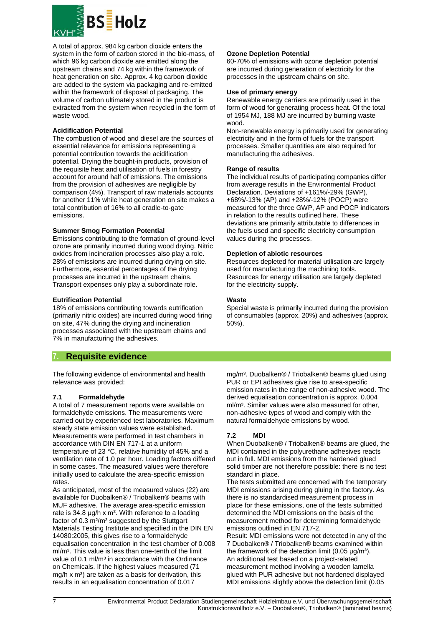

A total of approx. 984 kg carbon dioxide enters the system in the form of carbon stored in the bio-mass, of which 96 kg carbon dioxide are emitted along the upstream chains and 74 kg within the framework of heat generation on site. Approx. 4 kg carbon dioxide are added to the system via packaging and re-emitted within the framework of disposal of packaging. The volume of carbon ultimately stored in the product is extracted from the system when recycled in the form of waste wood.

#### **Acidification Potential**

The combustion of wood and diesel are the sources of essential relevance for emissions representing a potential contribution towards the acidification potential. Drying the bought-in products, provision of the requisite heat and utilisation of fuels in forestry account for around half of emissions. The emissions from the provision of adhesives are negligible by comparison (4%). Transport of raw materials accounts for another 11% while heat generation on site makes a total contribution of 16% to all cradle-to-gate emissions.

#### **Summer Smog Formation Potential**

Emissions contributing to the formation of ground-level ozone are primarily incurred during wood drying. Nitric oxides from incineration processes also play a role. 28% of emissions are incurred during drying on site. Furthermore, essential percentages of the drying processes are incurred in the upstream chains. Transport expenses only play a subordinate role.

#### **Eutrification Potential**

18% of emissions contributing towards eutrification (primarily nitric oxides) are incurred during wood firing on site, 47% during the drying and incineration processes associated with the upstream chains and 7% in manufacturing the adhesives.

## **7. Requisite evidence**

The following evidence of environmental and health relevance was provided:

#### **7.1 Formaldehyde**

A total of 7 measurement reports were available on formaldehyde emissions. The measurements were carried out by experienced test laboratories. Maximum steady state emission values were established. Measurements were performed in test chambers in accordance with DIN EN 717-1 at a uniform temperature of 23 °C, relative humidity of 45% and a ventilation rate of 1.0 per hour. Loading factors differed in some cases. The measured values were therefore initially used to calculate the area-specific emission rates.

As anticipated, most of the measured values (22) are available for Duobalken® / Triobalken® beams with MUF adhesive. The average area-specific emission rate is 34.8 μg/h x m². With reference to a loading factor of 0.3 m<sup>2</sup>/m<sup>3</sup> suggested by the Stuttgart Materials Testing Institute and specified in the DIN EN 14080:2005, this gives rise to a formaldehyde equalisation concentration in the test chamber of 0.008 ml/m<sup>3</sup>. This value is less than one-tenth of the limit value of 0.1 ml/m<sup>3</sup> in accordance with the Ordinance on Chemicals. If the highest values measured (71  $mg/h$  x m<sup>3</sup>) are taken as a basis for derivation, this results in an equalisation concentration of 0.017

#### **Ozone Depletion Potential**

60-70% of emissions with ozone depletion potential are incurred during generation of electricity for the processes in the upstream chains on site.

#### **Use of primary energy**

Renewable energy carriers are primarily used in the form of wood for generating process heat. Of the total of 1954 MJ, 188 MJ are incurred by burning waste wood.

Non-renewable energy is primarily used for generating electricity and in the form of fuels for the transport processes. Smaller quantities are also required for manufacturing the adhesives.

#### **Range of results**

The individual results of participating companies differ from average results in the Environmental Product Declaration. Deviations of +161%/-29% (GWP), +68%/-13% (AP) and +28%/-12% (POCP) were measured for the three GWP, AP and POCP indicators in relation to the results outlined here. These deviations are primarily attributable to differences in the fuels used and specific electricity consumption values during the processes.

#### **Depletion of abiotic resources**

Resources depleted for material utilisation are largely used for manufacturing the machining tools. Resources for energy utilisation are largely depleted for the electricity supply.

#### **Waste**

Special waste is primarily incurred during the provision of consumables (approx. 20%) and adhesives (approx. 50%).

mg/m<sup>3</sup>. Duobalken® / Triobalken® beams glued using PUR or EPI adhesives give rise to area-specific emission rates in the range of non-adhesive wood. The derived equalisation concentration is approx. 0.004 ml/m<sup>3</sup>. Similar values were also measured for other, non-adhesive types of wood and comply with the natural formaldehyde emissions by wood.

#### **7.2 MDI**

When Duobalken® / Triobalken® beams are glued, the MDI contained in the polyurethane adhesives reacts out in full. MDI emissions from the hardened glued solid timber are not therefore possible: there is no test standard in place.

The tests submitted are concerned with the temporary MDI emissions arising during gluing in the factory. As there is no standardised measurement process in place for these emissions, one of the tests submitted determined the MDI emissions on the basis of the measurement method for determining formaldehyde emissions outlined in EN 717-2.

Result: MDI emissions were not detected in any of the 7 Duobalken® / Triobalken® beams examined within the framework of the detection limit  $(0.05 \text{ µg/m}^3)$ . An additional test based on a project-related measurement method involving a wooden lamella glued with PUR adhesive but not hardened displayed MDI emissions slightly above the detection limit (0.05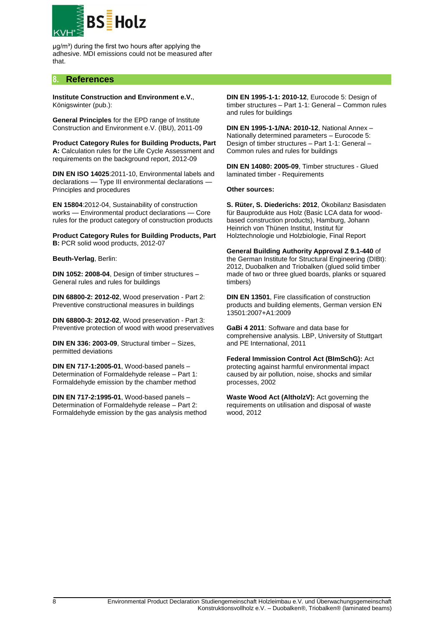

 $\mu$ g/m<sup>3</sup>) during the first two hours after applying the adhesive. MDI emissions could not be measured after that.

## **8. References**

**Institute Construction and Environment e.V.**, Königswinter (pub.):

**General Principles** for the EPD range of Institute Construction and Environment e.V. (IBU), 2011-09

**Product Category Rules for Building Products, Part A:** Calculation rules for the Life Cycle Assessment and requirements on the background report, 2012-09

**DIN EN ISO 14025**:2011-10, Environmental labels and declarations - Type III environmental declarations -Principles and procedures

**EN 15804**:2012-04, Sustainability of construction works — Environmental product declarations — Core rules for the product category of construction products

**Product Category Rules for Building Products, Part B:** PCR solid wood products, 2012-07

**Beuth-Verlag**, Berlin:

**DIN 1052: 2008-04**, Design of timber structures – General rules and rules for buildings

**DIN 68800-2: 2012-02**, Wood preservation - Part 2: Preventive constructional measures in buildings

**DIN 68800-3: 2012-02**, Wood preservation - Part 3: Preventive protection of wood with wood preservatives

**DIN EN 336: 2003-09**, Structural timber – Sizes, permitted deviations

**DIN EN 717-1:2005-01**, Wood-based panels – Determination of Formaldehyde release – Part 1: Formaldehyde emission by the chamber method

**DIN EN 717-2:1995-01**, Wood-based panels – Determination of Formaldehyde release – Part 2: Formaldehyde emission by the gas analysis method

**DIN EN 1995-1-1: 2010-12**, Eurocode 5: Design of timber structures – Part 1-1: General – Common rules and rules for buildings

**DIN EN 1995-1-1/NA: 2010-12**, National Annex – Nationally determined parameters – Eurocode 5: Design of timber structures – Part 1-1: General – Common rules and rules for buildings

**DIN EN 14080: 2005-09**, Timber structures - Glued laminated timber - Requirements

**Other sources:**

**S. Rüter, S. Diederichs: 2012**, Ökobilanz Basisdaten für Bauprodukte aus Holz (Basic LCA data for woodbased construction products), Hamburg, Johann Heinrich von Thünen Institut, Institut für Holztechnologie und Holzbiologie, Final Report

**General Building Authority Approval Z 9.1-440** of the German Institute for Structural Engineering (DIBt): 2012, Duobalken and Triobalken (glued solid timber made of two or three glued boards, planks or squared timbers)

**DIN EN 13501**, Fire classification of construction products and building elements, German version EN 13501:2007+A1:2009

**GaBi 4 2011**: Software and data base for comprehensive analysis. LBP, University of Stuttgart and PE International, 2011

**Federal Immission Control Act (BImSchG):** Act protecting against harmful environmental impact caused by air pollution, noise, shocks and similar processes, 2002

**Waste Wood Act (AltholzV):** Act governing the requirements on utilisation and disposal of waste wood, 2012